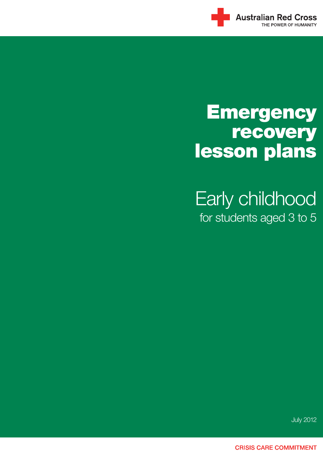

# **Emergency** recovery lesson plans

Early childhood for students aged 3 to 5

July 2012

**CRISIS CARE COMMITMENT**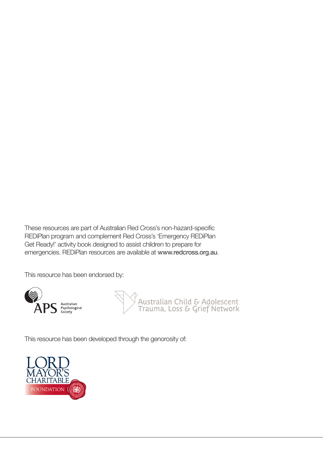These resources are part of Australian Red Cross's non-hazard-specific REDiPlan program and complement Red Cross's 'Emergency REDiPlan Get Ready!' activity book designed to assist children to prepare for emergencies. REDiPlan resources are available at www.redcross.org.au.

This resource has been endorsed by:





This resource has been developed through the genorosity of:

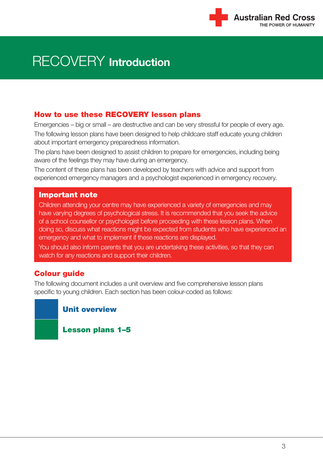

#### How to use these RECOVERY lesson plans

Emergencies – big or small – are destructive and can be very stressful for people of every age. The following lesson plans have been designed to help childcare staff educate young children about important emergency preparedness information.

The plans have been designed to assist children to prepare for emergencies, including being aware of the feelings they may have during an emergency.

The content of these plans has been developed by teachers with advice and support from experienced emergency managers and a psychologist experienced in emergency recovery.

#### Important note

Children attending your centre may have experienced a variety of emergencies and may have varying degrees of psychological stress. It is recommended that you seek the advice of a school counsellor or psychologist before proceeding with these lesson plans. When doing so, discuss what reactions might be expected from students who have experienced an emergency and what to implement if these reactions are displayed.

You should also inform parents that you are undertaking these activities, so that they can watch for any reactions and support their children.

#### **Colour quide**

The following document includes a unit overview and five comprehensive lesson plans specific to young children. Each section has been colour-coded as follows:

#### Unit overview

Lesson plans 1–5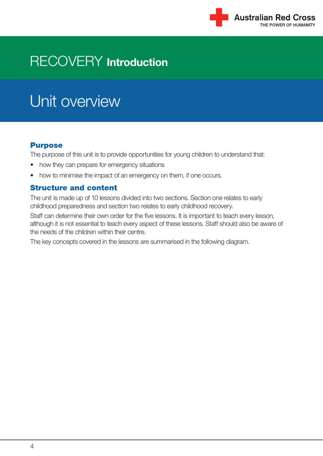

# Unit overview

#### Purpose

The purpose of this unit is to provide opportunities for young children to understand that:

- how they can prepare for emergency situations
- how to minimise the impact of an emergency on them, if one occurs.

#### Structure and content

The unit is made up of 10 lessons divided into two sections. Section one relates to early childhood preparedness and section two relates to early childhood recovery.

Staff can determine their own order for the five lessons. It is important to teach every lesson, although it is not essential to teach every aspect of these lessons. Staff should also be aware of the needs of the children within their centre.

The key concepts covered in the lessons are summarised in the following diagram.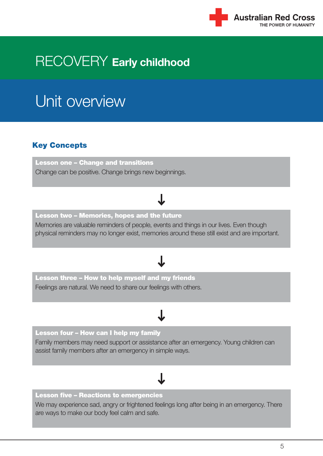

# Unit overview

#### Key Concepts

Lesson one – Change and transitions Change can be positive. Change brings new beginnings.

#### Lesson two – Memories, hopes and the future Memories are valuable reminders of people, events and things in our lives. Even though physical reminders may no longer exist, memories around these still exist and are important.

#### Lesson three – How to help myself and my friends

Feelings are natural. We need to share our feelings with others.

#### Lesson four – How can I help my family

Family members may need support or assistance after an emergency. Young children can assist family members after an emergency in simple ways.

#### Lesson five – Reactions to emergencies

We may experience sad, angry or frightened feelings long after being in an emergency. There are ways to make our body feel calm and safe.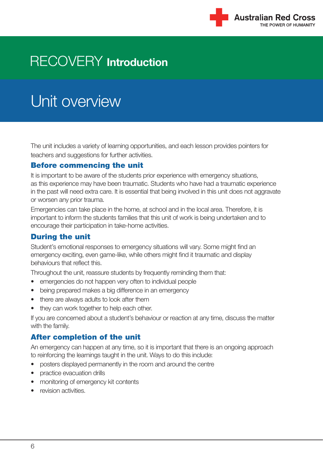

# Unit overview

The unit includes a variety of learning opportunities, and each lesson provides pointers for teachers and suggestions for further activities.

#### Before commencing the unit

It is important to be aware of the students prior experience with emergency situations, as this experience may have been traumatic. Students who have had a traumatic experience in the past will need extra care. It is essential that being involved in this unit does not aggravate or worsen any prior trauma.

Emergencies can take place in the home, at school and in the local area. Therefore, it is important to inform the students families that this unit of work is being undertaken and to encourage their participation in take-home activities.

#### During the unit

Student's emotional responses to emergency situations will vary. Some might find an emergency exciting, even game-like, while others might find it traumatic and display behaviours that reflect this.

Throughout the unit, reassure students by frequently reminding them that:

- emergencies do not happen very often to individual people
- being prepared makes a big difference in an emergency
- there are always adults to look after them
- they can work together to help each other.

If you are concerned about a student's behaviour or reaction at any time, discuss the matter with the family.

#### After completion of the unit

An emergency can happen at any time, so it is important that there is an ongoing approach to reinforcing the learnings taught in the unit. Ways to do this include:

- posters displayed permanently in the room and around the centre
- practice evacuation drills
- monitoring of emergency kit contents
- revision activities.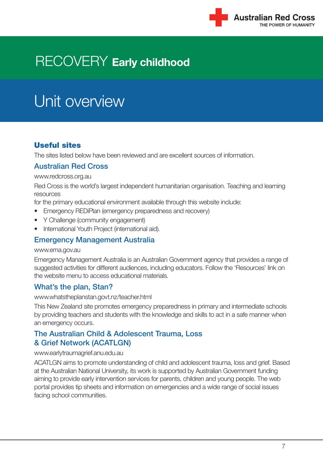

# Unit overview

#### Useful sites

The sites listed below have been reviewed and are excellent sources of information.

#### Australian Red Cross

#### www.redcross.org.au

Red Cross is the world's largest independent humanitarian organisation. Teaching and learning resources

for the primary educational environment available through this website include:

- Emergency REDiPlan (emergency preparedness and recovery)
- Y Challenge (community engagement)
- International Youth Project (international aid).

#### Emergency Management Australia

#### www.ema.gov.au

Emergency Management Australia is an Australian Government agency that provides a range of suggested activities for different audiences, including educators. Follow the 'Resources' link on the website menu to access educational materials.

#### What's the plan, Stan?

www.whatstheplanstan.govt.nz/teacher.html

This New Zealand site promotes emergency preparedness in primary and intermediate schools by providing teachers and students with the knowledge and skills to act in a safe manner when an emergency occurs.

#### The Australian Child & Adolescent Trauma, Loss & Grief Network (ACATLGN)

#### www.earlytraumagrief.anu.edu.au

ACATLGN aims to promote understanding of child and adolescent trauma, loss and grief. Based at the Australian National University, its work is supported by Australian Government funding aiming to provide early intervention services for parents, children and young people. The web portal provides tip sheets and information on emergencies and a wide range of social issues facing school communities.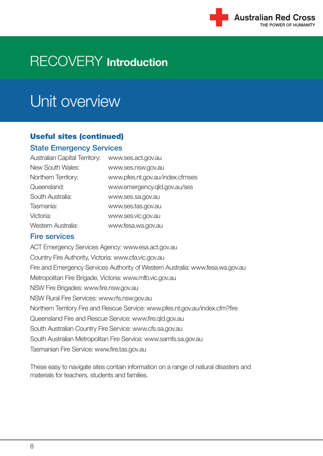

# Unit overview

#### Useful sites (continued)

#### State Emergency Services

| <b>Australian Capital Territory:</b> | www.ses.act.gov.au              |
|--------------------------------------|---------------------------------|
| New South Wales:                     | www.ses.nsw.gov.au              |
| Northern Territory:                  | www.pfes.nt.gov.au/index.cfmses |
| Queensland:                          | www.emergency.qld.gov.au/ses    |
| South Australia:                     | www.ses.sa.gov.au               |
| Tasmania:                            | www.ses.tas.gov.au              |
| Victoria:                            | www.ses.vic.gov.au              |
| Western Australia:                   | www.fesa.wa.gov.au              |
|                                      |                                 |

#### Fire services

ACT Emergency Services Agency: www.esa.act.gov.au Country Fire Authority, Victoria: www.cfa.vic.gov.au Fire and Emergency Services Authority of Western Australia: www.fesa.wa.gov.au Metropolitan Fire Brigade, Victoria: www.mfb.vic.gov.au NSW Fire Brigades: www.fire.nsw.gov.au NSW Rural Fire Services: www.rfs.nsw.gov.au Northern Territory Fire and Rescue Service: www.pfes.nt.gov.au/index.cfm?fire Queensland Fire and Rescue Service: www.fire.qld.gov.au South Australian Country Fire Service: www.cfs.sa.gov.au South Australian Metropolitan Fire Service: www.samfs.sa.gov.au Tasmanian Fire Service: www.fire.tas.gov.au

These easy to navigate sites contain information on a range of natural disasters and materials for teachers, students and families.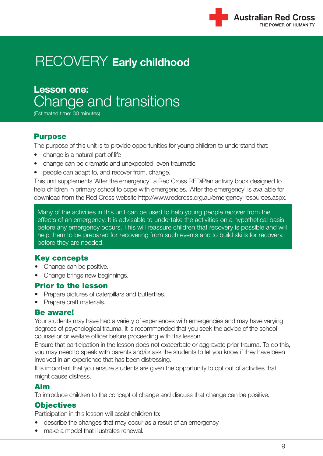**Lesson one:** Change and transitions

(Estimated time: 30 minutes)

#### Purpose

The purpose of this unit is to provide opportunities for young children to understand that:

- change is a natural part of life
- change can be dramatic and unexpected, even traumatic
- people can adapt to, and recover from, change.

This unit supplements 'After the emergency', a Red Cross REDiPlan activity book designed to help children in primary school to cope with emergencies. 'After the emergency' is available for download from the Red Cross website http://www.redcross.org.au/emergency-resources.aspx.

Many of the activities in this unit can be used to help young people recover from the effects of an emergency. It is advisable to undertake the activities on a hypothetical basis before any emergency occurs. This will reassure children that recovery is possible and will help them to be prepared for recovering from such events and to build skills for recovery, before they are needed.

#### Key concepts

- Change can be positive.
- Change brings new beginnings.

#### Prior to the lesson

- Prepare pictures of caterpillars and butterflies.
- Prepare craft materials.

#### Be aware!

Your students may have had a variety of experiences with emergencies and may have varying degrees of psychological trauma. It is recommended that you seek the advice of the school counsellor or welfare officer before proceeding with this lesson.

Ensure that participation in the lesson does not exacerbate or aggravate prior trauma. To do this, you may need to speak with parents and/or ask the students to let you know if they have been involved in an experience that has been distressing.

It is important that you ensure students are given the opportunity to opt out of activities that might cause distress.

#### Aim

To introduce children to the concept of change and discuss that change can be positive.

#### **Objectives**

Participation in this lesson will assist children to:

- describe the changes that may occur as a result of an emergency
- make a model that illustrates renewal.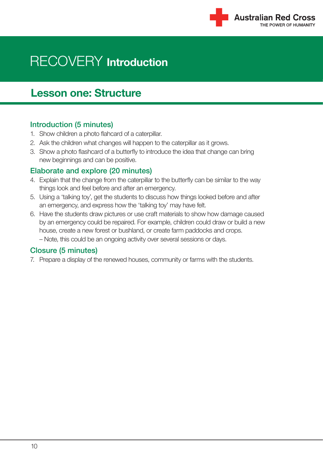

### **Lesson one: Structure**

#### Introduction (5 minutes)

- 1. Show children a photo flahcard of a caterpillar.
- 2. Ask the children what changes will happen to the caterpillar as it grows.
- 3. Show a photo flashcard of a butterfly to introduce the idea that change can bring new beginnings and can be positive.

#### Elaborate and explore (20 minutes)

- 4. Explain that the change from the caterpillar to the butterfly can be similar to the way things look and feel before and after an emergency.
- 5. Using a 'talking toy', get the students to discuss how things looked before and after an emergency, and express how the 'talking toy' may have felt.
- 6. Have the students draw pictures or use craft materials to show how damage caused by an emergency could be repaired. For example, children could draw or build a new house, create a new forest or bushland, or create farm paddocks and crops.
	- Note, this could be an ongoing activity over several sessions or days.

#### Closure (5 minutes)

7. Prepare a display of the renewed houses, community or farms with the students.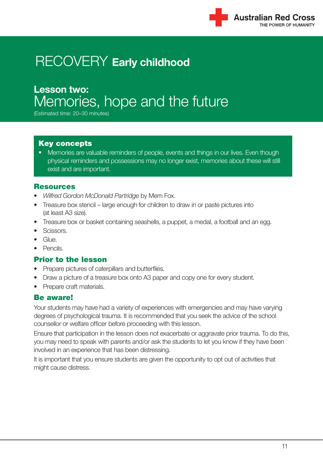

### **Lesson two:** Memories, hope and the future

(Estimated time: 20–30 minutes)

#### Key concepts

• Memories are valuable reminders of people, events and things in our lives. Even though physical reminders and possessions may no longer exist, memories about these will still exist and are important.

#### **Resources**

- *Wilfred Gordon McDonald Partridge* by Mem Fox.
- Treasure box stencil large enough for children to draw in or paste pictures into (at least A3 size).
- Treasure box or basket containing seashells, a puppet, a medal, a football and an egg.
- Scissors.
- Glue.
- Pencils.

#### Prior to the lesson

- Prepare pictures of caterpillars and butterflies.
- Draw a picture of a treasure box onto A3 paper and copy one for every student.
- Prepare craft materials.

#### Be aware!

Your students may have had a variety of experiences with emergencies and may have varying degrees of psychological trauma. It is recommended that you seek the advice of the school counsellor or welfare officer before proceeding with this lesson.

Ensure that participation in the lesson does not exacerbate or aggravate prior trauma. To do this, you may need to speak with parents and/or ask the students to let you know if they have been involved in an experience that has been distressing.

It is important that you ensure students are given the opportunity to opt out of activities that might cause distress.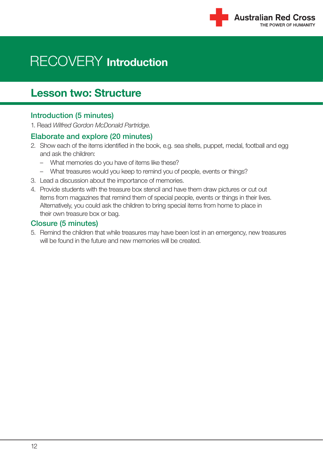

### **Lesson two: Structure**

#### Introduction (5 minutes)

1. Read *Wilfred Gordon McDonald Partridge*.

#### Elaborate and explore (20 minutes)

- 2. Show each of the items identified in the book, e.g. sea shells, puppet, medal, football and egg and ask the children:
	- What memories do you have of items like these?
	- What treasures would you keep to remind you of people, events or things?
- 3. Lead a discussion about the importance of memories.
- 4. Provide students with the treasure box stencil and have them draw pictures or cut out items from magazines that remind them of special people, events or things in their lives. Alternatively, you could ask the children to bring special items from home to place in their own treasure box or bag.

#### Closure (5 minutes)

5. Remind the children that while treasures may have been lost in an emergency, new treasures will be found in the future and new memories will be created.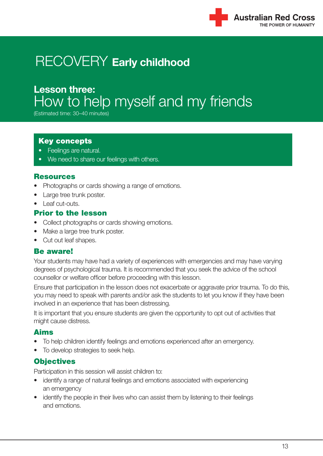

### **Lesson three:** How to help myself and my friends

(Estimated time: 30–40 minutes)

#### Key concepts

- Feelings are natural.
- We need to share our feelings with others.

#### **Resources**

- Photographs or cards showing a range of emotions.
- Large tree trunk poster.
- Leaf cut-outs.

#### Prior to the lesson

- Collect photographs or cards showing emotions.
- Make a large tree trunk poster.
- Cut out leaf shapes.

#### Be aware!

Your students may have had a variety of experiences with emergencies and may have varying degrees of psychological trauma. It is recommended that you seek the advice of the school counsellor or welfare officer before proceeding with this lesson.

Ensure that participation in the lesson does not exacerbate or aggravate prior trauma. To do this, you may need to speak with parents and/or ask the students to let you know if they have been involved in an experience that has been distressing.

It is important that you ensure students are given the opportunity to opt out of activities that might cause distress.

#### Aims

- To help children identify feelings and emotions experienced after an emergency.
- To develop strategies to seek help.

#### **Objectives**

Participation in this session will assist children to:

- identify a range of natural feelings and emotions associated with experiencing an emergency
- identify the people in their lives who can assist them by listening to their feelings and emotions.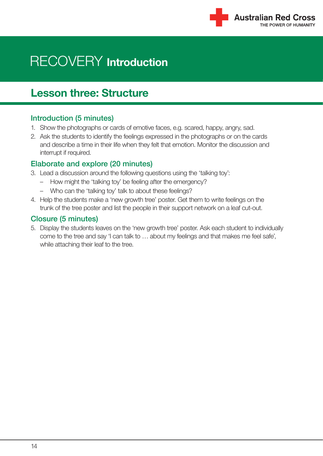

### **Lesson three: Structure**

#### Introduction (5 minutes)

- 1. Show the photographs or cards of emotive faces, e.g. scared, happy, angry, sad.
- 2. Ask the students to identify the feelings expressed in the photographs or on the cards and describe a time in their life when they felt that emotion. Monitor the discussion and interrupt if required.

#### Elaborate and explore (20 minutes)

- 3. Lead a discussion around the following questions using the 'talking toy':
	- How might the 'talking toy' be feeling after the emergency?
	- Who can the 'talking toy' talk to about these feelings?
- 4. Help the students make a 'new growth tree' poster. Get them to write feelings on the trunk of the tree poster and list the people in their support network on a leaf cut-out.

#### Closure (5 minutes)

5. Display the students leaves on the 'new growth tree' poster. Ask each student to individually come to the tree and say 'I can talk to … about my feelings and that makes me feel safe', while attaching their leaf to the tree.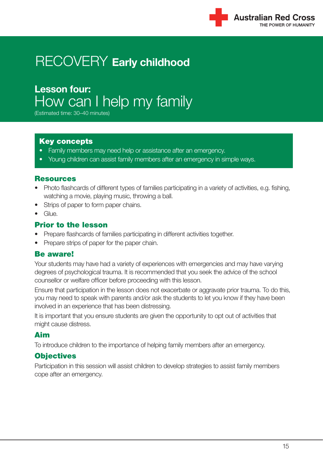### **Lesson four:** How can I help my family

(Estimated time: 30–40 minutes)

#### Key concepts

- Family members may need help or assistance after an emergency.
- Young children can assist family members after an emergency in simple ways.

#### Resources

- Photo flashcards of different types of families participating in a variety of activities, e.g. fishing, watching a movie, playing music, throwing a ball.
- Strips of paper to form paper chains.
- Glue.

#### Prior to the lesson

- Prepare flashcards of families participating in different activities together.
- Prepare strips of paper for the paper chain.

#### Be aware!

Your students may have had a variety of experiences with emergencies and may have varying degrees of psychological trauma. It is recommended that you seek the advice of the school counsellor or welfare officer before proceeding with this lesson.

Ensure that participation in the lesson does not exacerbate or aggravate prior trauma. To do this, you may need to speak with parents and/or ask the students to let you know if they have been involved in an experience that has been distressing.

It is important that you ensure students are given the opportunity to opt out of activities that might cause distress.

#### Aim

To introduce children to the importance of helping family members after an emergency.

#### **Objectives**

Participation in this session will assist children to develop strategies to assist family members cope after an emergency.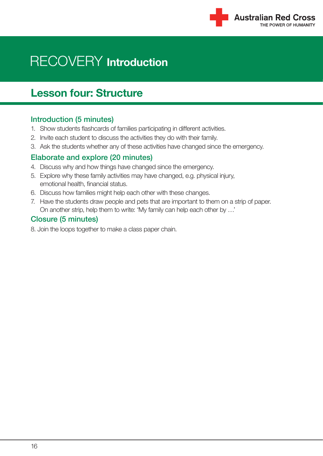

### **Lesson four: Structure**

#### Introduction (5 minutes)

- 1. Show students flashcards of families participating in different activities.
- 2. Invite each student to discuss the activities they do with their family.
- 3. Ask the students whether any of these activities have changed since the emergency.

#### Elaborate and explore (20 minutes)

- 4. Discuss why and how things have changed since the emergency.
- 5. Explore why these family activities may have changed, e.g. physical injury, emotional health, financial status.
- 6. Discuss how families might help each other with these changes.
- 7. Have the students draw people and pets that are important to them on a strip of paper. On another strip, help them to write: 'My family can help each other by …'

#### Closure (5 minutes)

8. Join the loops together to make a class paper chain.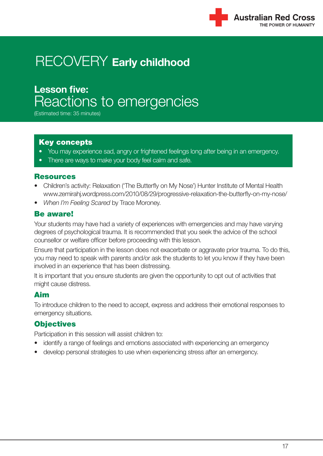### **Lesson five:** Reactions to emergencies

(Estimated time: 35 minutes)

#### Key concepts

- You may experience sad, angry or frightened feelings long after being in an emergency.
- There are ways to make your body feel calm and safe.

#### Resources

- Children's activity: Relaxation ('The Butterfly on My Nose') Hunter Institute of Mental Health www.zemirahj.wordpress.com/2010/08/29/progressive-relaxation-the-butterfly-on-my-nose/
- *When I'm Feeling Scared* by Trace Moroney.

#### Be aware!

Your students may have had a variety of experiences with emergencies and may have varying degrees of psychological trauma. It is recommended that you seek the advice of the school counsellor or welfare officer before proceeding with this lesson.

Ensure that participation in the lesson does not exacerbate or aggravate prior trauma. To do this, you may need to speak with parents and/or ask the students to let you know if they have been involved in an experience that has been distressing.

It is important that you ensure students are given the opportunity to opt out of activities that might cause distress.

#### Aim

To introduce children to the need to accept, express and address their emotional responses to emergency situations.

#### **Objectives**

Participation in this session will assist children to:

- identify a range of feelings and emotions associated with experiencing an emergency
- develop personal strategies to use when experiencing stress after an emergency.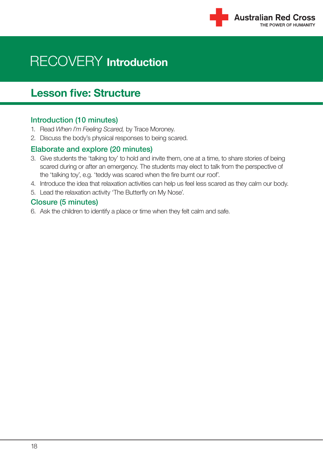

### **Lesson five: Structure**

#### Introduction (10 minutes)

- 1. Read *When I'm Feeling Scared,* by Trace Moroney.
- 2. Discuss the body's physical responses to being scared.

#### Elaborate and explore (20 minutes)

- 3. Give students the 'talking toy' to hold and invite them, one at a time, to share stories of being scared during or after an emergency. The students may elect to talk from the perspective of the 'talking toy', e.g. 'teddy was scared when the fire burnt our roof'.
- 4. Introduce the idea that relaxation activities can help us feel less scared as they calm our body.
- 5. Lead the relaxation activity 'The Butterfly on My Nose'.

#### Closure (5 minutes)

6. Ask the children to identify a place or time when they felt calm and safe.